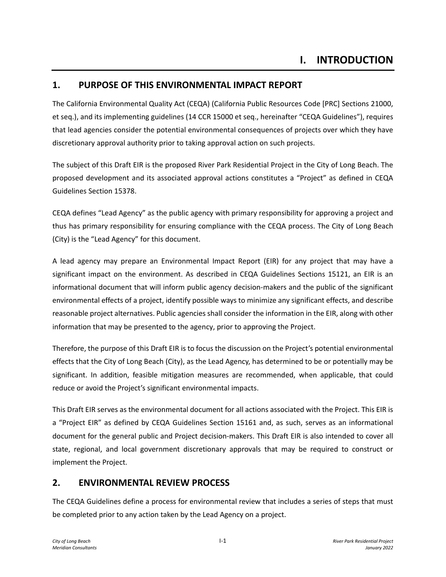# **1. PURPOSE OF THIS ENVIRONMENTAL IMPACT REPORT**

The California Environmental Quality Act (CEQA) (California Public Resources Code [PRC] Sections 21000, et seq.), and its implementing guidelines (14 CCR 15000 et seq., hereinafter "CEQA Guidelines"), requires that lead agencies consider the potential environmental consequences of projects over which they have discretionary approval authority prior to taking approval action on such projects.

The subject of this Draft EIR is the proposed River Park Residential Project in the City of Long Beach. The proposed development and its associated approval actions constitutes a "Project" as defined in CEQA Guidelines Section 15378.

CEQA defines "Lead Agency" as the public agency with primary responsibility for approving a project and thus has primary responsibility for ensuring compliance with the CEQA process. The City of Long Beach (City) is the "Lead Agency" for this document.

A lead agency may prepare an Environmental Impact Report (EIR) for any project that may have a significant impact on the environment. As described in CEQA Guidelines Sections 15121, an EIR is an informational document that will inform public agency decision-makers and the public of the significant environmental effects of a project, identify possible ways to minimize any significant effects, and describe reasonable project alternatives. Public agencies shall consider the information in the EIR, along with other information that may be presented to the agency, prior to approving the Project.

Therefore, the purpose of this Draft EIR is to focus the discussion on the Project's potential environmental effects that the City of Long Beach (City), as the Lead Agency, has determined to be or potentially may be significant. In addition, feasible mitigation measures are recommended, when applicable, that could reduce or avoid the Project's significant environmental impacts.

This Draft EIR serves as the environmental document for all actions associated with the Project. This EIR is a "Project EIR" as defined by CEQA Guidelines Section 15161 and, as such, serves as an informational document for the general public and Project decision-makers. This Draft EIR is also intended to cover all state, regional, and local government discretionary approvals that may be required to construct or implement the Project.

### **2. ENVIRONMENTAL REVIEW PROCESS**

The CEQA Guidelines define a process for environmental review that includes a series of steps that must be completed prior to any action taken by the Lead Agency on a project.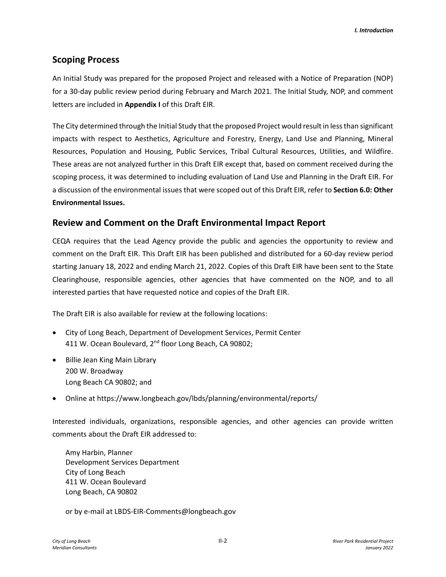## **Scoping Process**

An Initial Study was prepared for the proposed Project and released with a Notice of Preparation (NOP) for a 30-day public review period during February and March 2021. The Initial Study, NOP, and comment letters are included in **Appendix I** of this Draft EIR.

The City determined through the Initial Study that the proposed Project would result in less than significant impacts with respect to Aesthetics, Agriculture and Forestry, Energy, Land Use and Planning, Mineral Resources, Population and Housing, Public Services, Tribal Cultural Resources, Utilities, and Wildfire. These areas are not analyzed further in this Draft EIR except that, based on comment received during the scoping process, it was determined to including evaluation of Land Use and Planning in the Draft EIR. For a discussion of the environmental issues that were scoped out of this Draft EIR, refer to **Section 6.0: Other Environmental Issues.**

## **Review and Comment on the Draft Environmental Impact Report**

CEQA requires that the Lead Agency provide the public and agencies the opportunity to review and comment on the Draft EIR. This Draft EIR has been published and distributed for a 60-day review period starting January 18, 2022 and ending March 21, 2022. Copies of this Draft EIR have been sent to the State Clearinghouse, responsible agencies, other agencies that have commented on the NOP, and to all interested parties that have requested notice and copies of the Draft EIR.

The Draft EIR is also available for review at the following locations:

- City of Long Beach, Department of Development Services, Permit Center 411 W. Ocean Boulevard, 2<sup>nd</sup> floor Long Beach, CA 90802;
- Billie Jean King Main Library 200 W. Broadway Long Beach CA 90802; and
- Online at https://www.longbeach.gov/lbds/planning/environmental/reports/

Interested individuals, organizations, responsible agencies, and other agencies can provide written comments about the Draft EIR addressed to:

Amy Harbin, Planner Development Services Department City of Long Beach 411 W. Ocean Boulevard Long Beach, CA 90802

or by e-mail at LBDS-EIR-Comments@longbeach.gov